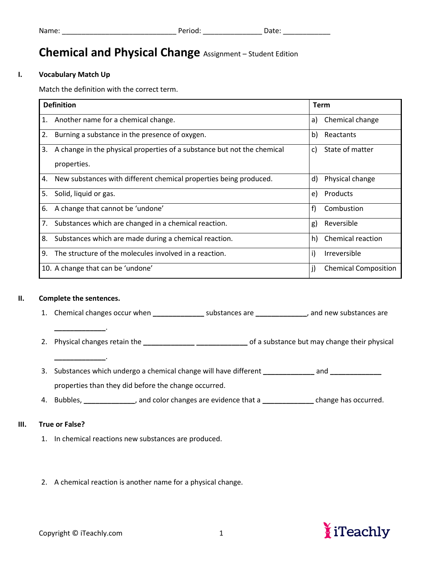## **Chemical and Physical Change** Assignment – Student Edition

#### **I. Vocabulary Match Up**

Match the definition with the correct term.

| <b>Definition</b>                                                       | <b>Term</b>                 |
|-------------------------------------------------------------------------|-----------------------------|
| 1.                                                                      | Chemical change             |
| Another name for a chemical change.                                     | a)                          |
| 2.                                                                      | Reactants                   |
| Burning a substance in the presence of oxygen.                          | b).                         |
| 3.                                                                      | State of matter             |
| A change in the physical properties of a substance but not the chemical | C)                          |
| properties.                                                             |                             |
| New substances with different chemical properties being produced.       | Physical change             |
| 4.                                                                      | d)                          |
| Solid, liquid or gas.                                                   | Products                    |
| 5.                                                                      | e)                          |
| 6.                                                                      | f)                          |
| A change that cannot be 'undone'                                        | Combustion                  |
| 7.                                                                      | Reversible                  |
| Substances which are changed in a chemical reaction.                    | g)                          |
| 8.                                                                      | Chemical reaction           |
| Substances which are made during a chemical reaction.                   | h)                          |
| 9.                                                                      | i)                          |
| The structure of the molecules involved in a reaction.                  | <b>Irreversible</b>         |
| 10. A change that can be 'undone'                                       | <b>Chemical Composition</b> |

#### **II. Complete the sentences.**

**\_\_\_\_\_\_\_\_\_\_\_\_\_**.

**\_\_\_\_\_\_\_\_\_\_\_\_\_**.

1. Chemical changes occur when **\_\_\_\_\_\_\_\_\_\_\_\_\_** substances are **\_\_\_\_\_\_\_\_\_\_\_\_\_**, and new substances are

- 2. Physical changes retain the **\_\_\_\_\_\_\_\_\_\_\_\_\_ \_\_\_\_\_\_\_\_\_\_\_\_\_** of a substance but may change their physical
- 3. Substances which undergo a chemical change will have different **\_\_\_\_\_\_\_\_\_\_\_\_\_** and **\_\_\_\_\_\_\_\_\_\_\_\_\_** properties than they did before the change occurred.
- 4. Bubbles, **\_\_\_\_\_\_\_\_\_\_\_\_\_**, and color changes are evidence that a **\_\_\_\_\_\_\_\_\_\_\_\_\_** change has occurred.

#### **III. True or False?**

- 1. In chemical reactions new substances are produced.
- 2. A chemical reaction is another name for a physical change.